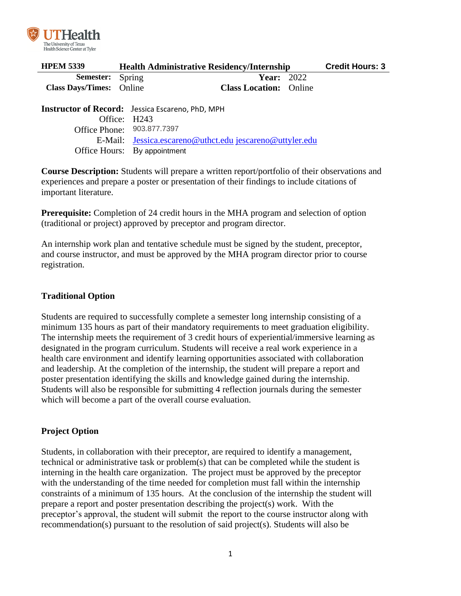

| <b>HPEM 5339</b>                | <b>Health Administrative Residency/Internship</b> |                               |  | <b>Credit Hours: 3</b> |
|---------------------------------|---------------------------------------------------|-------------------------------|--|------------------------|
| <b>Semester:</b> Spring         |                                                   | <b>Year: 2022</b>             |  |                        |
| <b>Class Days/Times:</b> Online |                                                   | <b>Class Location:</b> Online |  |                        |
|                                 |                                                   |                               |  |                        |

**Instructor of Record:** Jessica Escareno, PhD, MPH Office: H243 Office Phone: 903.877.7397 E-Mail: [Jessica.escareno@uthct.edu](mailto:Jessica.escareno@uthct.edu) [jescareno@uttyler.edu](mailto:jescareno@uttyler.edu) Office Hours: By appointment

**Course Description:** Students will prepare a written report/portfolio of their observations and experiences and prepare a poster or presentation of their findings to include citations of important literature.

**Prerequisite:** Completion of 24 credit hours in the MHA program and selection of option (traditional or project) approved by preceptor and program director.

An internship work plan and tentative schedule must be signed by the student, preceptor, and course instructor, and must be approved by the MHA program director prior to course registration.

## **Traditional Option**

Students are required to successfully complete a semester long internship consisting of a minimum 135 hours as part of their mandatory requirements to meet graduation eligibility. The internship meets the requirement of 3 credit hours of experiential/immersive learning as designated in the program curriculum. Students will receive a real work experience in a health care environment and identify learning opportunities associated with collaboration and leadership. At the completion of the internship, the student will prepare a report and poster presentation identifying the skills and knowledge gained during the internship. Students will also be responsible for submitting 4 reflection journals during the semester which will become a part of the overall course evaluation.

## **Project Option**

Students, in collaboration with their preceptor, are required to identify a management, technical or administrative task or problem(s) that can be completed while the student is interning in the health care organization. The project must be approved by the preceptor with the understanding of the time needed for completion must fall within the internship constraints of a minimum of 135 hours. At the conclusion of the internship the student will prepare a report and poster presentation describing the project(s) work. With the preceptor's approval, the student will submit the report to the course instructor along with recommendation(s) pursuant to the resolution of said project(s). Students will also be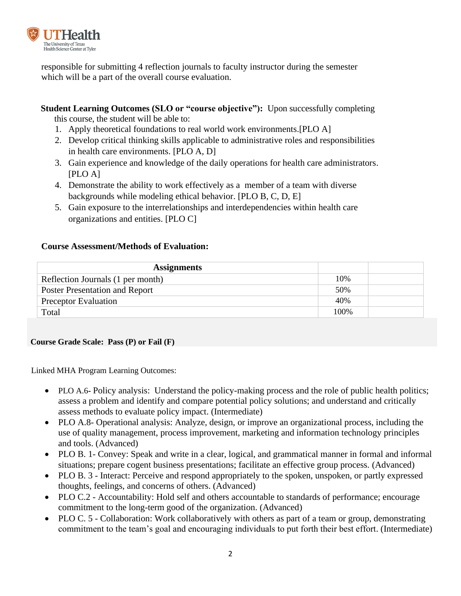

responsible for submitting 4 reflection journals to faculty instructor during the semester which will be a part of the overall course evaluation.

**Student Learning Outcomes (SLO or "course objective"):** Upon successfully completing

this course, the student will be able to:

- 1. Apply theoretical foundations to real world work environments.[PLO A]
- 2. Develop critical thinking skills applicable to administrative roles and responsibilities in health care environments. [PLO A, D]
- 3. Gain experience and knowledge of the daily operations for health care administrators. [PLO A]
- 4. Demonstrate the ability to work effectively as a member of a team with diverse backgrounds while modeling ethical behavior. [PLO B, C, D, E]
- 5. Gain exposure to the interrelationships and interdependencies within health care organizations and entities. [PLO C]

# **Course Assessment/Methods of Evaluation:**

| <b>Assignments</b>                    |       |  |
|---------------------------------------|-------|--|
| Reflection Journals (1 per month)     | 10%   |  |
| <b>Poster Presentation and Report</b> | 50%   |  |
| <b>Preceptor Evaluation</b>           | 40%   |  |
| Total                                 | 100\% |  |

## **Course Grade Scale: Pass (P) or Fail (F)**

Linked MHA Program Learning Outcomes:

- PLO A.6- Policy analysis: Understand the policy-making process and the role of public health politics; assess a problem and identify and compare potential policy solutions; and understand and critically assess methods to evaluate policy impact. (Intermediate)
- PLO A.8- Operational analysis: Analyze, design, or improve an organizational process, including the use of quality management, process improvement, marketing and information technology principles and tools. (Advanced)
- PLO B. 1- Convey: Speak and write in a clear, logical, and grammatical manner in formal and informal situations; prepare cogent business presentations; facilitate an effective group process. (Advanced)
- PLO B. 3 Interact: Perceive and respond appropriately to the spoken, unspoken, or partly expressed thoughts, feelings, and concerns of others. (Advanced)
- PLO C.2 Accountability: Hold self and others accountable to standards of performance; encourage commitment to the long-term good of the organization. (Advanced)
- PLO C. 5 Collaboration: Work collaboratively with others as part of a team or group, demonstrating commitment to the team's goal and encouraging individuals to put forth their best effort. (Intermediate)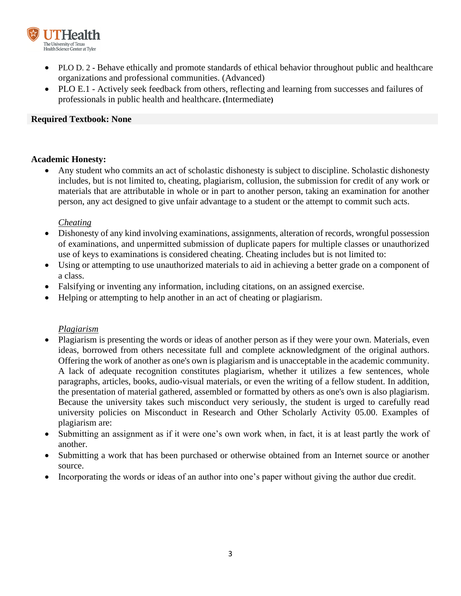

- PLO D. 2 **-** Behave ethically and promote standards of ethical behavior throughout public and healthcare organizations and professional communities. (Advanced)
- PLO E.1 Actively seek feedback from others, reflecting and learning from successes and failures of professionals in public health and healthcare**. (**Intermediate**)**

### **Required Textbook: None**

### **Academic Honesty:**

• Any student who commits an act of scholastic dishonesty is subject to discipline. Scholastic dishonesty includes, but is not limited to, cheating, plagiarism, collusion, the submission for credit of any work or materials that are attributable in whole or in part to another person, taking an examination for another person, any act designed to give unfair advantage to a student or the attempt to commit such acts.

### *Cheating*

- Dishonesty of any kind involving examinations, assignments, alteration of records, wrongful possession of examinations, and unpermitted submission of duplicate papers for multiple classes or unauthorized use of keys to examinations is considered cheating. Cheating includes but is not limited to:
- Using or attempting to use unauthorized materials to aid in achieving a better grade on a component of a class.
- Falsifying or inventing any information, including citations, on an assigned exercise.
- Helping or attempting to help another in an act of cheating or plagiarism.

### *Plagiarism*

- Plagiarism is presenting the words or ideas of another person as if they were your own. Materials, even ideas, borrowed from others necessitate full and complete acknowledgment of the original authors. Offering the work of another as one's own is plagiarism and is unacceptable in the academic community. A lack of adequate recognition constitutes plagiarism, whether it utilizes a few sentences, whole paragraphs, articles, books, audio-visual materials, or even the writing of a fellow student. In addition, the presentation of material gathered, assembled or formatted by others as one's own is also plagiarism. Because the university takes such misconduct very seriously, the student is urged to carefully read university policies on Misconduct in Research and Other Scholarly Activity 05.00. Examples of plagiarism are:
- Submitting an assignment as if it were one's own work when, in fact, it is at least partly the work of another.
- Submitting a work that has been purchased or otherwise obtained from an Internet source or another source.
- Incorporating the words or ideas of an author into one's paper without giving the author due credit.